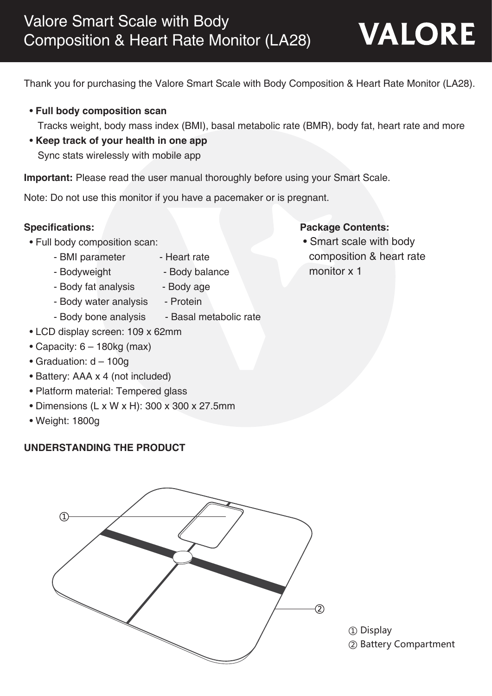Thank you for purchasing the Valore Smart Scale with Body Composition & Heart Rate Monitor (LA28).

• **Full body composition scan**

Tracks weight, body mass index (BMI), basal metabolic rate (BMR), body fat, heart rate and more

 • **Keep track of your health in one app** Sync stats wirelessly with mobile app

**Important:** Please read the user manual thoroughly before using your Smart Scale.

Note: Do not use this monitor if you have a pacemaker or is pregnant.

- Full body composition scan:
	- BMI parameter Heart rate
	-
	- Bodyweight Body balance
	- Body fat analysis Body age
		-
	- Body water analysis Protein
	- Body bone analysis Basal metabolic rate
- LCD display screen: 109 x 62mm
- Capacity:  $6 180$ kg (max)
- Graduation: d 100g
- Battery: AAA x 4 (not included)
- Platform material: Tempered glass
- Dimensions (L x W x H): 300 x 300 x 27.5mm
- Weight: 1800g

#### **UNDERSTANDING THE PRODUCT**



① Display ② Battery Compartment

- **Specifications: Package Contents:** 
	- Smart scale with body composition & heart rate
		- monitor x 1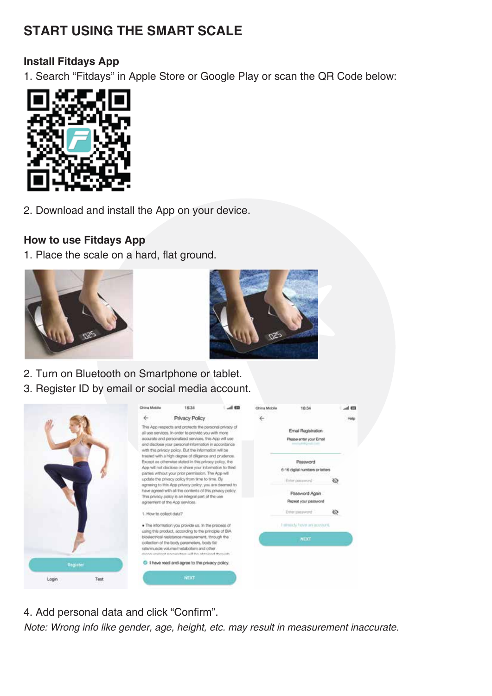# **START USING THE SMART SCALE**

#### **Install Fitdays App**

1. Search "Fitdays" in Apple Store or Google Play or scan the QR Code below:



2. Download and install the App on your device.

#### **How to use Fitdays App**

1. Place the scale on a hard, flat ground.





- 2. Turn on Bluetooth on Smartphone or tablet.
- 3. Register ID by email or social media account.



4. Add personal data and click "Confirm".

Note: Wrong info like gender, age, height, etc. may result in measurement inaccurate.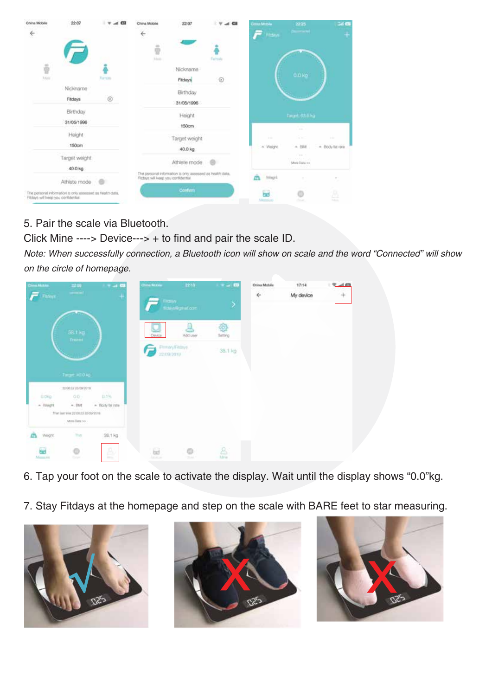| China Mobile                            | 22:07                                                     | $A$ $B$    | China Mobile                         | 22:07                                                     | GH           | <b>Clima Modés</b>            | 2225                                                                                                                    | Gal Cit                      |
|-----------------------------------------|-----------------------------------------------------------|------------|--------------------------------------|-----------------------------------------------------------|--------------|-------------------------------|-------------------------------------------------------------------------------------------------------------------------|------------------------------|
| $\Leftrightarrow$                       |                                                           |            | $\leftarrow$<br>۰                    |                                                           |              | <b>Finance</b>                |                                                                                                                         | ۹                            |
| $\frac{1}{2}$                           |                                                           |            | 9<br>Mein                            |                                                           | Female       |                               |                                                                                                                         |                              |
| <b>Usin</b>                             |                                                           | Fornista   |                                      | Nickname<br>Fitdays                                       | $^\circledR$ |                               | 0.0 kg                                                                                                                  |                              |
|                                         | Nickname<br>Fitdays                                       | $^{\circ}$ |                                      | Birthday<br>31/05/1996                                    |              |                               |                                                                                                                         |                              |
|                                         | Birthday<br>31/05/1996                                    |            |                                      | Height<br>150cm                                           |              |                               | Target: 63.6 kg                                                                                                         |                              |
|                                         | Height<br>150cm                                           |            |                                      | Target weight<br>40.0 kg                                  |              | <b>STAR</b><br>$+$ Weight     | $\frac{1}{2} \left( \frac{1}{2} \right) \left( \frac{1}{2} \right) \left( \frac{1}{2} \right)$<br>$\sim 10$<br>$+ 19.8$ | $1 - 4$<br>$+$ Body fut rate |
|                                         | Target weight.<br>40.0 kg                                 |            |                                      | Athlete mode                                              |              |                               | Case 31<br><b>NUMBER</b><br>More Data no                                                                                |                              |
|                                         | Athlete mode                                              | 78         | Fitzays will lieep you confidential. | The personal information is only assessed as health data, |              | Wwight                        | $\mathcal{L}$                                                                                                           | $\sim$                       |
| Filtdays will livelip you confidential. | The personal information to only assessed as health data, |            |                                      | Confirm                                                   |              | <b><i><u>Lightian</u></i></b> | O<br><b>Callenge</b>                                                                                                    | Δ<br><b>Mark</b>             |

5. Pair the scale via Bluetooth.

Click Mine ----> Device---> + to find and pair the scale ID.

Note: When successfully connection, a Bluetooth icon will show on scale and the word "Connected" will show on the circle of homepage.

| <b>China McFau</b>          | 3200                                                                                                  | $\rightarrow$ $\alpha$ | China Mckaw         | 2210               | $\blacksquare \rightarrow \blacksquare$ | China Mobile | 17.14     | $\mathcal{R}$ and $\mathcal{R}$ |
|-----------------------------|-------------------------------------------------------------------------------------------------------|------------------------|---------------------|--------------------|-----------------------------------------|--------------|-----------|---------------------------------|
| Fadoys                      | $\frac{1}{2} \left( \frac{1}{2} \right) \left( \frac{1}{2} \right) \left( \frac{1}{2} \right)$        | $\scriptstyle\pm$      | Times.              | fiduct@gmat.com    | 2                                       | $\leftarrow$ | My device | $+$                             |
|                             | <b>38.1 kg</b><br><b>Trurnt</b>                                                                       |                        | Device              | Addiuser           | ₩<br>Setting                            |              |           |                                 |
|                             |                                                                                                       |                        | 22/09/2019          | (Formery Filsboys) | 38.1 kg                                 |              |           |                                 |
|                             | Taget 40.0 kg                                                                                         |                        |                     |                    |                                         |              |           |                                 |
|                             | дуредудировоги:                                                                                       | 22511<br><b>DLS</b> %  |                     |                    |                                         |              |           |                                 |
| <b>U.CHO.</b><br>$-$ Visign | GG.<br>$*$ . [948]                                                                                    | - flosty fat rate      |                     |                    |                                         |              |           |                                 |
|                             | from just wire 2d on 23, 20 00/2018<br>$\mathsf{M}\mathsf{H}\mathsf{H}\mathsf{H}\mathsf{H}\mathsf{H}$ |                        |                     |                    |                                         |              |           |                                 |
| ۵<br>Wegrt.                 | This:                                                                                                 | 38.1 kg                |                     |                    |                                         |              |           |                                 |
| ₩<br>Montant                | $\sim$<br>o<br><b>Portal</b>                                                                          | P.<br><b>COLLEGE</b>   | Ed.<br><b>Links</b> | <b>State</b>       | 8<br>thru                               |              |           |                                 |

- 6. Tap your foot on the scale to activate the display. Wait until the display shows "0.0"kg.
- 7. Stay Fitdays at the homepage and step on the scale with BARE feet to star measuring.





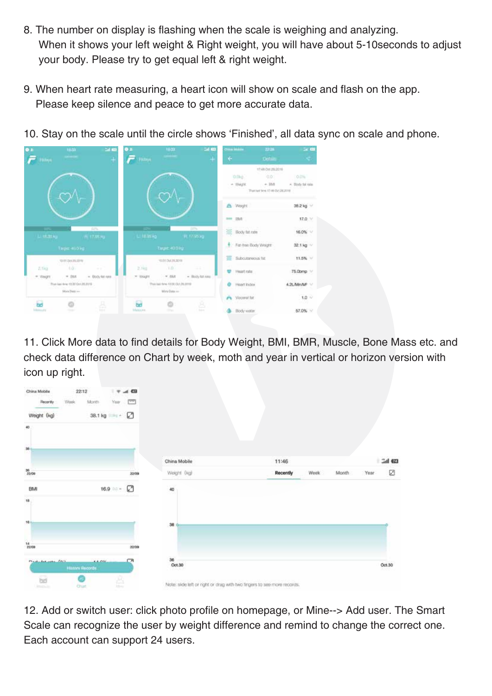- 8. The number on display is flashing when the scale is weighing and analyzing. When it shows your left weight & Right weight, you will have about 5-10seconds to adjust your body. Please try to get equal left & right weight.
- 9. When heart rate measuring, a heart icon will show on scale and flash on the app. Please keep silence and peace to get more accurate data.
- 10. Stay on the scale until the circle shows 'Finished', all data sync on scale and phone.



11. Click More data to find details for Body Weight, BMI, BMR, Muscle, Bone Mass etc. and check data difference on Chart by week, moth and year in vertical or horizon version with icon up right.

| China Mobile                          | 22:12                  |         |              | $\nabla$ and $\nabla$ |                                                                        |          |      |       |      |         |
|---------------------------------------|------------------------|---------|--------------|-----------------------|------------------------------------------------------------------------|----------|------|-------|------|---------|
| <b>Recordly</b>                       | Week                   | Month-  |              | Year The              |                                                                        |          |      |       |      |         |
| Weight (kg)                           |                        |         | 38.1 kg ***  |                       |                                                                        |          |      |       |      |         |
| 40                                    |                        |         |              |                       |                                                                        |          |      |       |      |         |
| 36                                    |                        |         |              |                       |                                                                        |          |      |       |      |         |
|                                       |                        |         |              |                       | China Mobile                                                           | 11:46    |      |       |      | Gal 623 |
| $\frac{20}{22,000}$                   |                        |         |              | 22/09                 | Weight (kg)                                                            | Recently | Week | Month | Year | ☑       |
| BMI                                   |                        |         | $16.9$ 0.0 - | Ø                     | 40                                                                     |          |      |       |      |         |
| 18                                    |                        |         |              |                       |                                                                        |          |      |       |      |         |
| 161                                   |                        |         |              |                       | 38                                                                     |          |      |       |      |         |
| $\frac{14}{22/00}$                    |                        |         |              | 22/09                 |                                                                        |          |      |       |      |         |
| Philadelphia Chil                     | <b>History Records</b> | A A COL |              | CА                    | 36<br>Oct.30                                                           |          |      |       |      | Oct.30  |
| $\overline{\omega}$<br><b>Jestice</b> | o<br><b>Chat</b>       |         | ê            |                       | Note: side left or right or drag with two fingers to see more records. |          |      |       |      |         |

12. Add or switch user: click photo profile on homepage, or Mine--> Add user. The Smart Scale can recognize the user by weight difference and remind to change the correct one. Each account can support 24 users.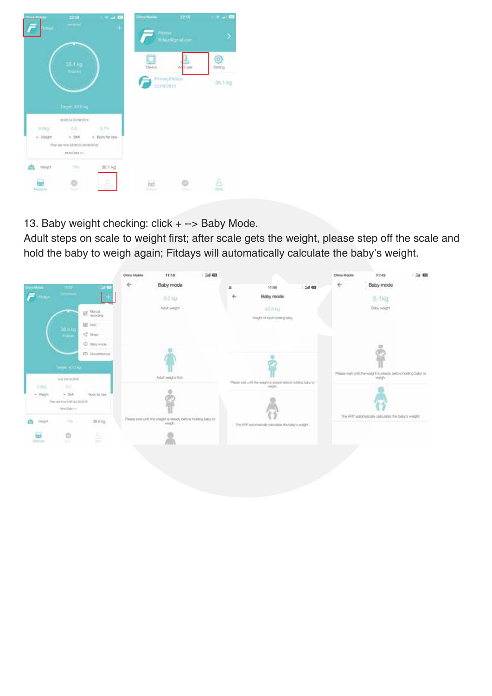| 3200<br>$\bullet$<br>--<br>$^{+}$<br>'Admys | China McKee<br>2210<br><b>Titutys</b><br>filme@gmet.com | $\rightarrow$ $\rightarrow$ $\Box$<br>۶ |
|---------------------------------------------|---------------------------------------------------------|-----------------------------------------|
| <b>38.1 kg</b><br>Trurait                   | Devca<br>Addiuse -                                      | Setting                                 |
|                                             | (Festion Fisher)<br>22/09/2018                          | 38.1 kg                                 |
| Тацие 40.0 кд.                              |                                                         |                                         |
| 2208122092019<br>22513                      |                                                         |                                         |
| <b>D.1%</b><br><b>D.Cing</b><br>00:         |                                                         |                                         |
| - Visign<br>- flosty fat rate<br>$n$ . IBAT |                                                         |                                         |
| from just weel 2d ORLEA 2D ON 9010          |                                                         |                                         |
| Minn Data >>>>                              |                                                         |                                         |
| 38.1 kg<br>This<br>Wegre.                   |                                                         |                                         |
| н<br>Manufes<br>President                   | bet<br><b>Links</b>                                     | <b>Liver</b>                            |

13. Baby weight checking: click + --> Baby Mode.

Adult steps on scale to weight first; after scale gets the weight, please step off the scale and hold the baby to weigh again; Fitdays will automatically calculate the baby's weight.

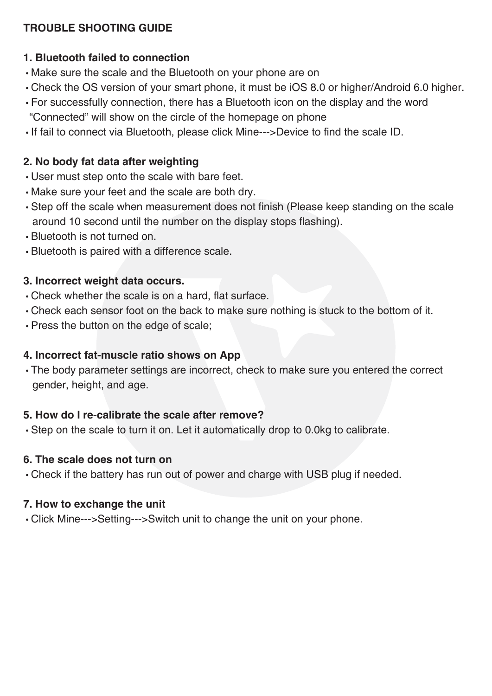#### **TROUBLE SHOOTING GUIDE**

#### **1. Bluetooth failed to connection**

- Make sure the scale and the Bluetooth on your phone are on
- Check the OS version of your smart phone, it must be iOS 8.0 or higher/Android 6.0 higher.
- For successfully connection, there has a Bluetooth icon on the display and the word "Connected" will show on the circle of the homepage on phone
- If fail to connect via Bluetooth, please click Mine--->Device to find the scale ID.

## **2. No body fat data after weighting**

- User must step onto the scale with bare feet.
- Make sure your feet and the scale are both dry.
- Step off the scale when measurement does not finish (Please keep standing on the scale around 10 second until the number on the display stops flashing).
- Bluetooth is not turned on.
- Bluetooth is paired with a difference scale.

### **3. Incorrect weight data occurs.**

- Check whether the scale is on a hard, flat surface.
- Check each sensor foot on the back to make sure nothing is stuck to the bottom of it.
- Press the button on the edge of scale;

# **4. Incorrect fat-muscle ratio shows on App**

 • The body parameter settings are incorrect, check to make sure you entered the correct gender, height, and age.

# **5. How do I re-calibrate the scale after remove?**

• Step on the scale to turn it on. Let it automatically drop to 0.0kg to calibrate.

#### **6. The scale does not turn on**

• Check if the battery has run out of power and charge with USB plug if needed.

# **7. How to exchange the unit**

• Click Mine--->Setting--->Switch unit to change the unit on your phone.